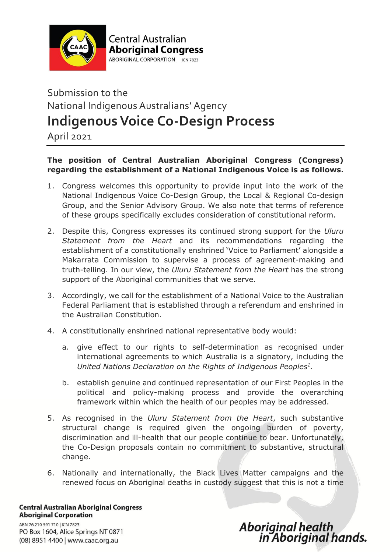

**Central Australian Aboriginal Congress** ABORIGINAL CORPORATION | ICN 7823

## Submission to the National Indigenous Australians' Agency **Indigenous Voice Co-Design Process**

April 2021

## **The position of Central Australian Aboriginal Congress (Congress) regarding the establishment of a National Indigenous Voice is as follows.**

- 1. Congress welcomes this opportunity to provide input into the work of the National Indigenous Voice Co-Design Group, the Local & Regional Co-design Group, and the Senior Advisory Group. We also note that terms of reference of these groups specifically excludes consideration of constitutional reform.
- 2. Despite this, Congress expresses its continued strong support for the *Uluru Statement from the Heart* and its recommendations regarding the establishment of a constitutionally enshrined 'Voice to Parliament' alongside a Makarrata Commission to supervise a process of agreement-making and truth-telling. In our view, the *Uluru Statement from the Heart* has the strong support of the Aboriginal communities that we serve.
- 3. Accordingly, we call for the establishment of a National Voice to the Australian Federal Parliament that is established through a referendum and enshrined in the Australian Constitution.
- 4. A constitutionally enshrined national representative body would:
	- a. give effect to our rights to self-determination as recognised under international agreements to which Australia is a signatory, including the *United Nations Declaration on the Rights of Indigenous Peoples<sup>1</sup> .*
	- b. establish genuine and continued representation of our First Peoples in the political and policy-making process and provide the overarching framework within which the health of our peoples may be addressed.
- 5. As recognised in the *Uluru Statement from the Heart*, such substantive structural change is required given the ongoing burden of poverty, discrimination and ill-health that our people continue to bear. Unfortunately, the Co-Design proposals contain no commitment to substantive, structural change.
- 6. Nationally and internationally, the Black Lives Matter campaigns and the renewed focus on Aboriginal deaths in custody suggest that this is not a time

**Central Australian Aboriginal Congress Aboriginal Corporation** 

ABN 76 210 591 710 | ICN 7823 PO Box 1604, Alice Springs NT 0871 (08) 8951 4400 | www.caac.org.au

## Aboriginal health<br>in Aboriginal hands.